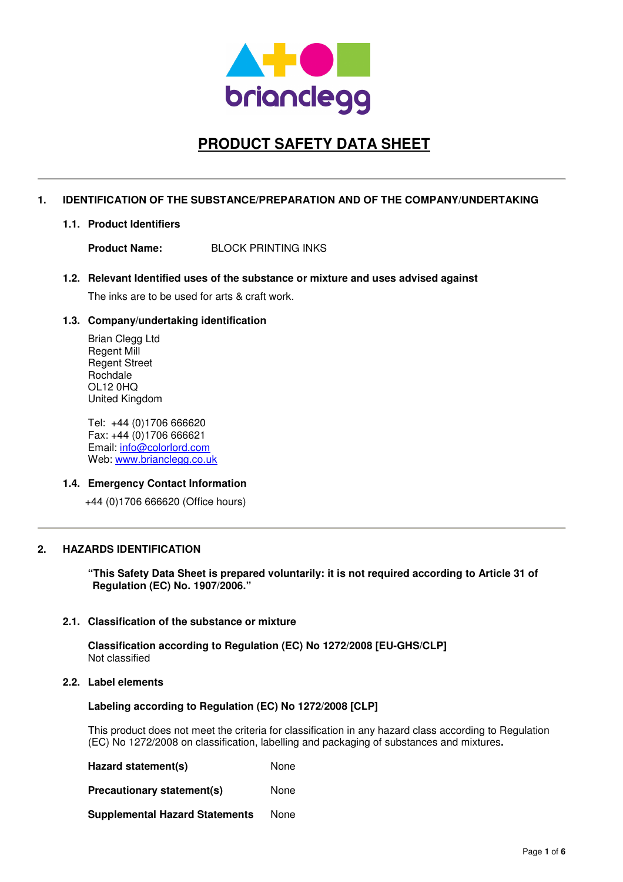

# **PRODUCT SAFETY DATA SHEET**

## **1. IDENTIFICATION OF THE SUBSTANCE/PREPARATION AND OF THE COMPANY/UNDERTAKING**

**1.1. Product Identifiers** 

**Product Name:** BLOCK PRINTING INKS

**1.2. Relevant Identified uses of the substance or mixture and uses advised against** 

The inks are to be used for arts & craft work.

## **1.3. Company/undertaking identification**

Brian Clegg Ltd Regent Mill Regent Street Rochdale OL12 0HQ United Kingdom

Tel: +44 (0)1706 666620 Fax: +44 (0)1706 666621 Email: info@colorlord.com Web: www.brianclegg.co.uk

## **1.4. Emergency Contact Information**

+44 (0)1706 666620 (Office hours)

## **2. HAZARDS IDENTIFICATION**

**"This Safety Data Sheet is prepared voluntarily: it is not required according to Article 31 of Regulation (EC) No. 1907/2006."** 

## **2.1. Classification of the substance or mixture**

**Classification according to Regulation (EC) No 1272/2008 [EU-GHS/CLP]**  Not classified

## **2.2. Label elements**

## **Labeling according to Regulation (EC) No 1272/2008 [CLP]**

This product does not meet the criteria for classification in any hazard class according to Regulation (EC) No 1272/2008 on classification, labelling and packaging of substances and mixtures**.** 

**Hazard statement(s)** None

**Precautionary statement(s)** None

**Supplemental Hazard Statements** None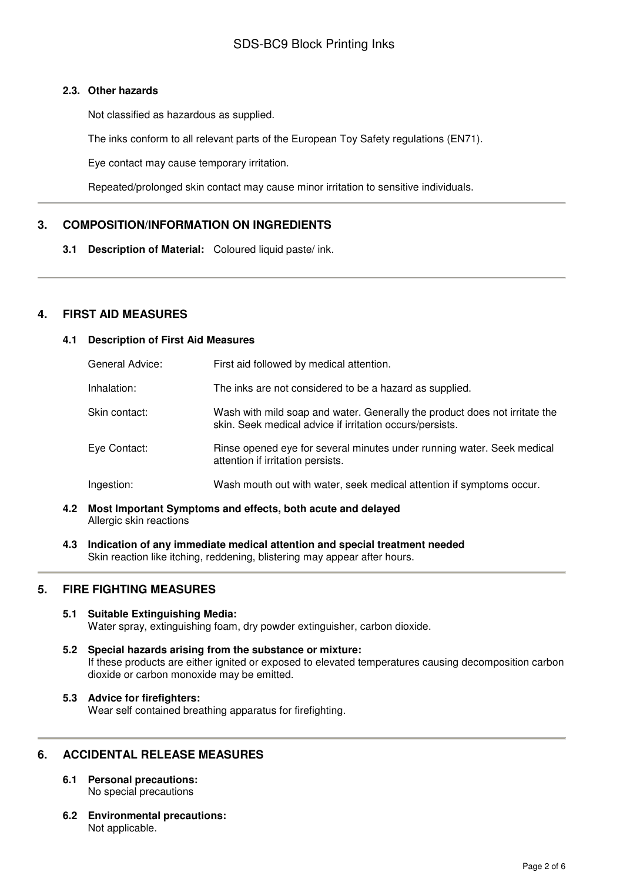## **2.3. Other hazards**

Not classified as hazardous as supplied.

The inks conform to all relevant parts of the European Toy Safety regulations (EN71).

Eye contact may cause temporary irritation.

Repeated/prolonged skin contact may cause minor irritation to sensitive individuals.

# **3. COMPOSITION/INFORMATION ON INGREDIENTS**

**3.1 Description of Material:** Coloured liquid paste/ ink.

# **4. FIRST AID MEASURES**

## **4.1 Description of First Aid Measures**

| General Advice: | First aid followed by medical attention.                                                                                               |
|-----------------|----------------------------------------------------------------------------------------------------------------------------------------|
| Inhalation:     | The inks are not considered to be a hazard as supplied.                                                                                |
| Skin contact:   | Wash with mild soap and water. Generally the product does not irritate the<br>skin. Seek medical advice if irritation occurs/persists. |
| Eye Contact:    | Rinse opened eye for several minutes under running water. Seek medical<br>attention if irritation persists.                            |
| Ingestion:      | Wash mouth out with water, seek medical attention if symptoms occur.                                                                   |

- **4.2 Most Important Symptoms and effects, both acute and delayed**  Allergic skin reactions
- **4.3 Indication of any immediate medical attention and special treatment needed**  Skin reaction like itching, reddening, blistering may appear after hours.

# **5. FIRE FIGHTING MEASURES**

- **5.1 Suitable Extinguishing Media:** Water spray, extinguishing foam, dry powder extinguisher, carbon dioxide.
- **5.2 Special hazards arising from the substance or mixture:**  If these products are either ignited or exposed to elevated temperatures causing decomposition carbon dioxide or carbon monoxide may be emitted.
- **5.3 Advice for firefighters:**  Wear self contained breathing apparatus for firefighting.

# **6. ACCIDENTAL RELEASE MEASURES**

- **6.1 Personal precautions:**  No special precautions
- **6.2 Environmental precautions:**  Not applicable.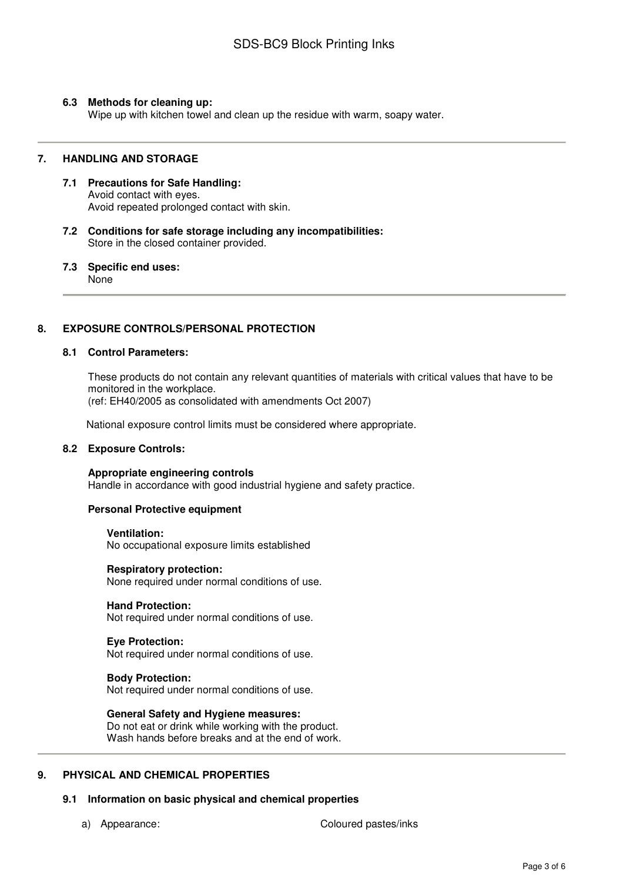## **6.3 Methods for cleaning up:**

Wipe up with kitchen towel and clean up the residue with warm, soapy water.

### **7. HANDLING AND STORAGE**

- **7.1 Precautions for Safe Handling:**  Avoid contact with eyes. Avoid repeated prolonged contact with skin.
- **7.2 Conditions for safe storage including any incompatibilities:**  Store in the closed container provided.
- **7.3 Specific end uses:**  None

## **8. EXPOSURE CONTROLS/PERSONAL PROTECTION**

### **8.1 Control Parameters:**

These products do not contain any relevant quantities of materials with critical values that have to be monitored in the workplace. (ref: EH40/2005 as consolidated with amendments Oct 2007)

National exposure control limits must be considered where appropriate.

### **8.2 Exposure Controls:**

**Appropriate engineering controls**  Handle in accordance with good industrial hygiene and safety practice.

### **Personal Protective equipment**

**Ventilation:**  No occupational exposure limits established

**Respiratory protection:**  None required under normal conditions of use.

**Hand Protection:**  Not required under normal conditions of use.

**Eye Protection:**  Not required under normal conditions of use.

### **Body Protection:**

Not required under normal conditions of use.

**General Safety and Hygiene measures:**  Do not eat or drink while working with the product. Wash hands before breaks and at the end of work.

## **9. PHYSICAL AND CHEMICAL PROPERTIES**

## **9.1 Information on basic physical and chemical properties**

a) Appearance: Coloured pastes/inks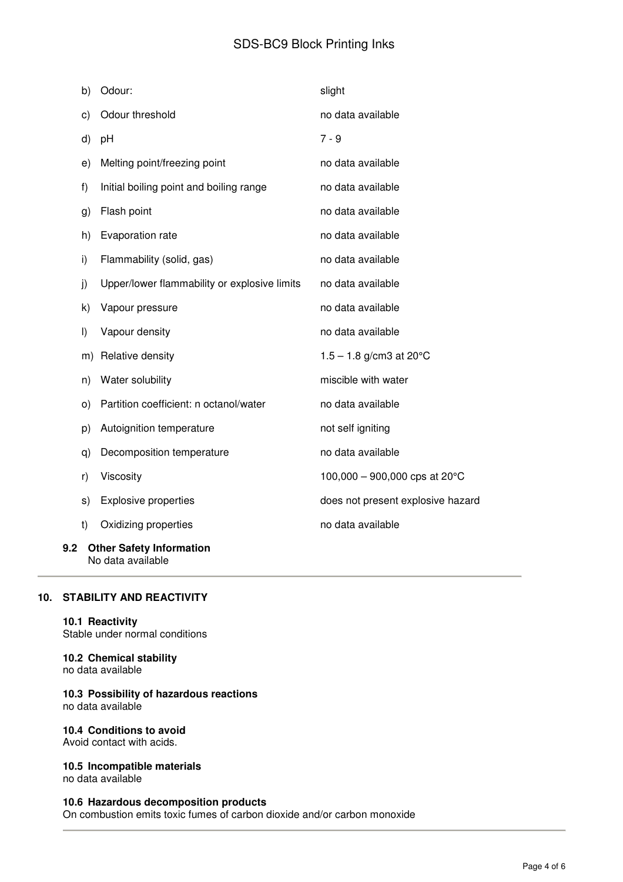# SDS-BC9 Block Printing Inks

|     | b)            | Odour:                                       | slight                                   |
|-----|---------------|----------------------------------------------|------------------------------------------|
|     | $\mathsf{c})$ | Odour threshold                              | no data available                        |
|     | d)            | pH                                           | $7 - 9$                                  |
|     | e)            | Melting point/freezing point                 | no data available                        |
|     | f)            | Initial boiling point and boiling range      | no data available                        |
|     | g)            | Flash point                                  | no data available                        |
|     | h)            | Evaporation rate                             | no data available                        |
|     | i)            | Flammability (solid, gas)                    | no data available                        |
|     | j)            | Upper/lower flammability or explosive limits | no data available                        |
|     | k)            | Vapour pressure                              | no data available                        |
|     | $\vert$       | Vapour density                               | no data available                        |
|     | m)            | Relative density                             | $1.5 - 1.8$ g/cm3 at 20 $^{\circ}$ C     |
|     | n)            | Water solubility                             | miscible with water                      |
|     | O)            | Partition coefficient: n octanol/water       | no data available                        |
|     | p)            | Autoignition temperature                     | not self igniting                        |
|     | q)            | Decomposition temperature                    | no data available                        |
|     | r)            | Viscosity                                    | 100,000 - 900,000 cps at 20 $^{\circ}$ C |
|     | s)            | <b>Explosive properties</b>                  | does not present explosive hazard        |
|     | t)            | Oxidizing properties                         | no data available                        |
| 9.2 |               | <b>Other Safety Information</b>              |                                          |

# **10. STABILITY AND REACTIVITY**

No data available

### **10.1 Reactivity**

Stable under normal conditions

# **10.2 Chemical stability**

no data available

### **10.3 Possibility of hazardous reactions**  no data available

# **10.4 Conditions to avoid**

Avoid contact with acids.

## **10.5 Incompatible materials**

no data available

## **10.6 Hazardous decomposition products**

On combustion emits toxic fumes of carbon dioxide and/or carbon monoxide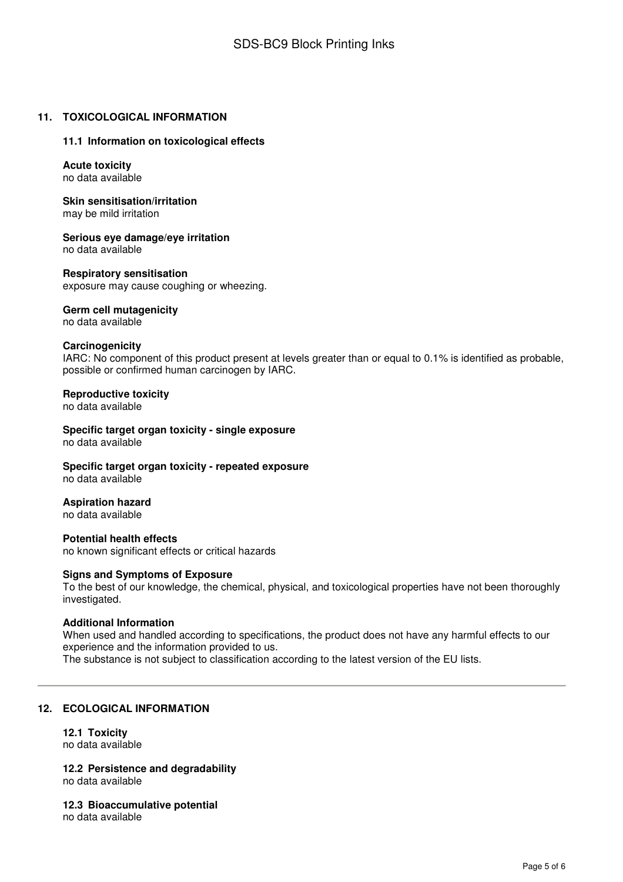## **11. TOXICOLOGICAL INFORMATION**

### **11.1 Information on toxicological effects**

### **Acute toxicity**  no data available

**Skin sensitisation/irritation**  may be mild irritation

**Serious eye damage/eye irritation**  no data available

### **Respiratory sensitisation**

exposure may cause coughing or wheezing.

### **Germ cell mutagenicity**

no data available

### **Carcinogenicity**

IARC: No component of this product present at levels greater than or equal to 0.1% is identified as probable, possible or confirmed human carcinogen by IARC.

### **Reproductive toxicity**

no data available

**Specific target organ toxicity - single exposure**  no data available

**Specific target organ toxicity - repeated exposure**  no data available

### **Aspiration hazard**

no data available

**Potential health effects**  no known significant effects or critical hazards

### **Signs and Symptoms of Exposure**

To the best of our knowledge, the chemical, physical, and toxicological properties have not been thoroughly investigated.

### **Additional Information**

When used and handled according to specifications, the product does not have any harmful effects to our experience and the information provided to us. The substance is not subject to classification according to the latest version of the EU lists.

## **12. ECOLOGICAL INFORMATION**

#### **12.1 Toxicity**  no data available

**12.2 Persistence and degradability**  no data available

**12.3 Bioaccumulative potential** 

no data available